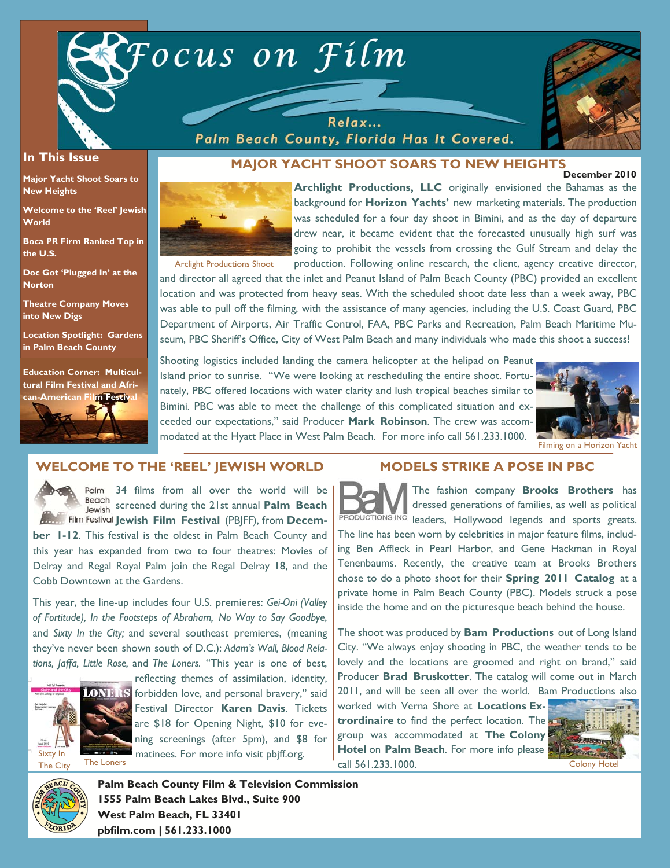

Relax... Palm Beach County, Florida Has It Covered.



#### **In This Issue**

**Major Yacht Shoot Soars to New Heights** 

**Welcome to the 'Reel' Jewish World** 

**Boca PR Firm Ranked Top in the U.S.** 

**Doc Got 'Plugged In' at the Norton** 

**Theatre Company Moves into New Digs** 

**Location Spotlight: Gardens in Palm Beach County** 

**Education Corner: Multicultural Film Festival and Afri-**



#### **December 2010 MAJOR YACHT SHOOT SOARS TO NEW HEIGHTS**



**Archlight Productions, LLC** originally envisioned the Bahamas as the background for **Horizon Yachts'** new marketing materials. The production was scheduled for a four day shoot in Bimini, and as the day of departure drew near, it became evident that the forecasted unusually high surf was going to prohibit the vessels from crossing the Gulf Stream and delay the production. Following online research, the client, agency creative director,

Arclight Productions Shoot

and director all agreed that the inlet and Peanut Island of Palm Beach County (PBC) provided an excellent location and was protected from heavy seas. With the scheduled shoot date less than a week away, PBC was able to pull off the filming, with the assistance of many agencies, including the U.S. Coast Guard, PBC Department of Airports, Air Traffic Control, FAA, PBC Parks and Recreation, Palm Beach Maritime Museum, PBC Sheriff's Office, City of West Palm Beach and many individuals who made this shoot a success!

Shooting logistics included landing the camera helicopter at the helipad on Peanut Island prior to sunrise. "We were looking at rescheduling the entire shoot. Fortunately, PBC offered locations with water clarity and lush tropical beaches similar to Bimini. PBC was able to meet the challenge of this complicated situation and exceeded our expectations," said Producer **Mark Robinson**. The crew was accommodated at the Hyatt Place in West Palm Beach. For more info call 561.233.1000.



Filming on a Horizon Yacht

### **WELCOME TO THE 'REEL' JEWISH WORLD**



34 films from all over the world will be Beach screened during the 21st annual **Palm Beach Film Festival Jewish Film Festival (PB|FF), from Decem-**

**ber 1-12**. This festival is the oldest in Palm Beach County and this year has expanded from two to four theatres: Movies of Delray and Regal Royal Palm join the Regal Delray 18, and the Cobb Downtown at the Gardens.

This year, the line-up includes four U.S. premieres: *Gei-Oni (Valley of Fortitude), In the Footsteps of Abraham, No Way to Say Goodbye*, and *Sixty In the City;* and several southeast premieres, (meaning they've never been shown south of D.C.): *Adam's Wall, Blood Relations, Jaffa, Little Rose,* and *The Loners.* "This year is one of best,



reflecting themes of assimilation, identity, **IONERS** forbidden love, and personal bravery," said Festival Director **Karen Davis**. Tickets are \$18 for Opening Night, \$10 for evening screenings (after 5pm), and \$8 for **The Loners** matinees. For more info visit phiff.org.

### **MODELS STRIKE A POSE IN PBC**

The fashion company **Brooks Brothers** has dressed generations of families, as well as political PRODUCTIONS ING leaders, Hollywood legends and sports greats. The line has been worn by celebrities in major feature films, including Ben Affleck in Pearl Harbor, and Gene Hackman in Royal Tenenbaums. Recently, the creative team at Brooks Brothers chose to do a photo shoot for their **Spring 2011 Catalog** at a private home in Palm Beach County (PBC). Models struck a pose inside the home and on the picturesque beach behind the house.

The shoot was produced by **Bam Productions** out of Long Island City. "We always enjoy shooting in PBC, the weather tends to be lovely and the locations are groomed and right on brand," said Producer **Brad Bruskotter**. The catalog will come out in March 2011, and will be seen all over the world. Bam Productions also

worked with Verna Shore at **Locations Extrordinaire** to find the perfect location. The group was accommodated at **The Colony Hotel on Palm Beach.** For more info please call 561.233.1000. Colony Hotel





**Palm Beach County Film & Television Commission 1555 Palm Beach Lakes Blvd., Suite 900 West Palm Beach, FL 33401 pbfilm.com | 561.233.1000**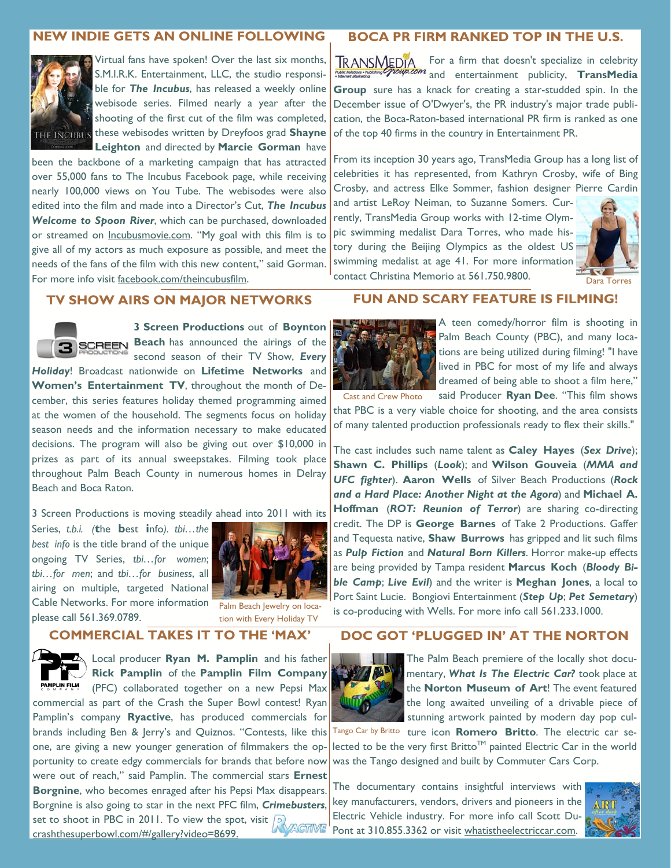# **NEW INDIE GETS AN ONLINE FOLLOWING**



Virtual fans have spoken! Over the last six months, S.M.I.R.K. Entertainment, LLC, the studio responsible for *The Incubus*, has released a weekly online webisode series. Filmed nearly a year after the shooting of the first cut of the film was completed, **THE INCUBUS** these webisodes written by Dreyfoos grad **Shayne Leighton** and directed by **Marcie Gorman** have

been the backbone of a marketing campaign that has attracted over 55,000 fans to The Incubus Facebook page, while receiving nearly 100,000 views on You Tube. The webisodes were also edited into the film and made into a Director's Cut, *The Incubus Welcome to Spoon River*, which can be purchased, downloaded or streamed on **Incubusmovie.com**. "My goal with this film is to give all of my actors as much exposure as possible, and meet the needs of the fans of the film with this new content," said Gorman. For more info visit facebook.com/theincubusfilm.

### **BOCA PR FIRM RANKED TOP IN THE U.S.**

For a firm that doesn't specialize in celebrity and entertainment publicity, **TransMedia Group** sure has a knack for creating a star-studded spin. In the December issue of O'Dwyer's, the PR industry's major trade publication, the Boca-Raton-based international PR firm is ranked as one of the top 40 firms in the country in Entertainment PR.

From its inception 30 years ago, TransMedia Group has a long list of celebrities it has represented, from Kathryn Crosby, wife of Bing Crosby, and actress Elke Sommer, fashion designer Pierre Cardin

and artist LeRoy Neiman, to Suzanne Somers. Currently, TransMedia Group works with 12-time Olympic swimming medalist Dara Torres, who made history during the Beijing Olympics as the oldest US swimming medalist at age 41. For more information contact Christina Memorio at 561.750.9800.



### **TV SHOW AIRS ON MAJOR NETWORKS**



**3 Screen Productions** out of **Boynton BEGREEN Beach has announced the airings of the** second season of their TV Show, *Every Holiday*! Broadcast nationwide on **Lifetime Networks** and **Women's Entertainment TV**, throughout the month of December, this series features holiday themed programming aimed at the women of the household. The segments focus on holiday season needs and the information necessary to make educated decisions. The program will also be giving out over \$10,000 in prizes as part of its annual sweepstakes. Filming took place throughout Palm Beach County in numerous homes in Delray Beach and Boca Raton.

3 Screen Productions is moving steadily ahead into 2011 with its

Series, *t.b.i. (***t**he **b**est **i**nfo*). tbi…the best info* is the title brand of the unique ongoing TV Series, *tbi…for women*; *tbi…for men*; and *tbi…for business*, all airing on multiple, targeted National Cable Networks. For more information please call 561.369.0789.



Palm Beach Jewelry on location with Every Holiday TV

### **COMMERCIAL TAKES IT TO THE 'MAX'**

**LANSING MED** Local producer **Ryan M. Pamplin** and his father **Rick Pamplin** of the **Pamplin Film Company**  PAMPLIN FILM (PFC) collaborated together on a new Pepsi Max commercial as part of the Crash the Super Bowl contest! Ryan Pamplin's company **Ryactive**, has produced commercials for brands including Ben & Jerry's and Quiznos. "Contests, like this one, are giving a new younger generation of filmmakers the opportunity to create edgy commercials for brands that before now were out of reach," said Pamplin. The commercial stars **Ernest Borgnine**, who becomes enraged after his Pepsi Max disappears. Borgnine is also going to star in the next PFC film, *Crimebusters*, set to shoot in PBC in 2011. To view the spot, visit  $\sqrt{p}$ crashthesuperbowl.com/#/gallery?video=8699.

### **FUN AND SCARY FEATURE IS FILMING!**



A teen comedy/horror film is shooting in Palm Beach County (PBC), and many locations are being utilized during filming! "I have lived in PBC for most of my life and always dreamed of being able to shoot a film here,"

said Producer **Ryan Dee**. "This film shows that PBC is a very viable choice for shooting, and the area consists of many talented production professionals ready to flex their skills." Cast and Crew Photo

The cast includes such name talent as **Caley Hayes** (*Sex Drive*); **Shawn C. Phillips** (*Look*); and **Wilson Gouveia** (*MMA and UFC fighter*). **Aaron Wells** of Silver Beach Productions (*Rock and a Hard Place: Another Night at the Agora*) and **Michael A. Hoffman** (*ROT: Reunion of Terror*) are sharing co-directing credit. The DP is **George Barnes** of Take 2 Productions. Gaffer and Tequesta native, **Shaw Burrows** has gripped and lit such films as *Pulp Fiction* and *Natural Born Killers*. Horror make-up effects are being provided by Tampa resident **Marcus Koch** (*Bloody Bible Camp*; *Live Evil*) and the writer is **Meghan Jones**, a local to Port Saint Lucie. Bongiovi Entertainment (*Step Up*; *Pet Semetary*) is co-producing with Wells. For more info call 561.233.1000.

# **DOC GOT 'PLUGGED IN' AT THE NORTON**



The Palm Beach premiere of the locally shot documentary, *What Is The Electric Car?* took place at the **Norton Museum of Art**! The event featured the long awaited unveiling of a drivable piece of stunning artwork painted by modern day pop cul-

Tango Car by Britto ture icon **Romero Britto**. The electric car selected to be the very first Britto<sup>TM</sup> painted Electric Car in the world was the Tango designed and built by Commuter Cars Corp.

The documentary contains insightful interviews with key manufacturers, vendors, drivers and pioneers in the Electric Vehicle industry. For more info call Scott Du-Pont at 310.855.3362 or visit whatistheelectriccar.com.

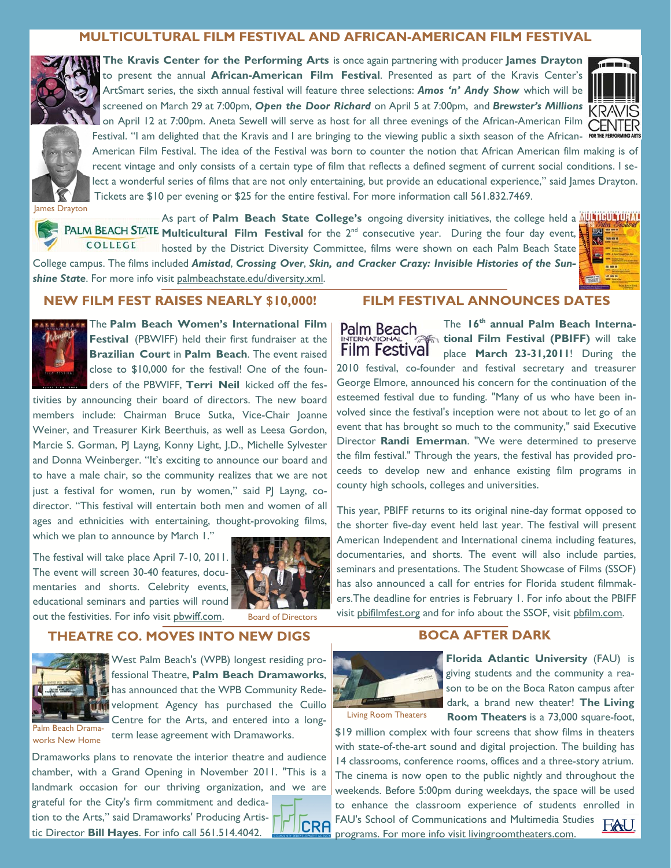# **MULTICULTURAL FILM FESTIVAL AND AFRICAN-AMERICAN FILM FESTIVAL**



**The Kravis Center for the Performing Arts** is once again partnering with producer **James Drayton**  to present the annual **African-American Film Festival**. Presented as part of the Kravis Center's ArtSmart series, the sixth annual festival will feature three selections: *Amos 'n' Andy Show* which will be screened on March 29 at 7:00pm, *Open the Door Richard* on April 5 at 7:00pm, and *Brewster's Millions*  on April 12 at 7:00pm. Aneta Sewell will serve as host for all three evenings of the African-American Film Festival. "I am delighted that the Kravis and I are bringing to the viewing public a sixth season of the African-



American Film Festival. The idea of the Festival was born to counter the notion that African American film making is of recent vintage and only consists of a certain type of film that reflects a defined segment of current social conditions. I select a wonderful series of films that are not only entertaining, but provide an educational experience," said James Drayton. Tickets are \$10 per evening or \$25 for the entire festival. For more information call 561.832.7469.

lames Drayton

As part of **Palm Beach State College's** ongoing diversity initiatives, the college held a **ALLITIBU LIBILITI MULTIM REACH STATE Multicultural Film Festival** for the 2<sup>nd</sup> consecutive year. During the four day event, COLLEGE hosted by the District Diversity Committee, films were shown on each Palm Beach State

College campus. The films included *Amistad*, *Crossing Over*, *Skin, and Cracker Crazy: Invisible Histories of the Sunshine State*. For more info visit palmbeachstate.edu/diversity.xml.

### **NEW FILM FEST RAISES NEARLY \$10,000!**



The **Palm Beach Women's International Film Festival** (PBWIFF) held their first fundraiser at the **Brazilian Court** in **Palm Beach**. The event raised close to \$10,000 for the festival! One of the founders of the PBWIFF, **Terri Neil** kicked off the fes-

tivities by announcing their board of directors. The new board members include: Chairman Bruce Sutka, Vice-Chair Joanne Weiner, and Treasurer Kirk Beerthuis, as well as Leesa Gordon, Marcie S. Gorman, PJ Layng, Konny Light, J.D., Michelle Sylvester and Donna Weinberger. "It's exciting to announce our board and to have a male chair, so the community realizes that we are not just a festival for women, run by women," said PJ Layng, codirector. "This festival will entertain both men and women of all ages and ethnicities with entertaining, thought-provoking films, which we plan to announce by March 1."

The festival will take place April 7-10, 2011. The event will screen 30-40 features, documentaries and shorts. Celebrity events, educational seminars and parties will round out the festivities. For info visit pbwiff.com.



Board of Directors

## **THEATRE CO. MOVES INTO NEW DIGS**



**West Palm Beach's (WPB) longest residing pro**fessional Theatre, **Palm Beach Dramaworks**, has announced that the WPB Community Rede-**THE velopment Agency has purchased the Cuillo** Centre for the Arts, and entered into a longterm lease agreement with Dramaworks.

Palm Beach Dramaworks New Home

Dramaworks plans to renovate the interior theatre and audience chamber, with a Grand Opening in November 2011. "This is a landmark occasion for our thriving organization, and we are grateful for the City's firm commitment and dedication to the Arts," said Dramaworks' Producing Artis-**CRA** tic Director **Bill Hayes**. For info call 561.514.4042.

# **FILM FESTIVAL ANNOUNCES DATES**

The **16th annual Palm Beach Interna-**Palm Beach **tional Film Festival (PBIFF)** will take **Film Festival** place **March 23-31,2011**! During the 2010 festival, co-founder and festival secretary and treasurer George Elmore, announced his concern for the continuation of the esteemed festival due to funding. "Many of us who have been involved since the festival's inception were not about to let go of an event that has brought so much to the community," said Executive Director **Randi Emerman**. "We were determined to preserve the film festival." Through the years, the festival has provided proceeds to develop new and enhance existing film programs in county high schools, colleges and universities.

This year, PBIFF returns to its original nine-day format opposed to the shorter five-day event held last year. The festival will present American Independent and International cinema including features, documentaries, and shorts. The event will also include parties, seminars and presentations. The Student Showcase of Films (SSOF) has also announced a call for entries for Florida student filmmakers.The deadline for entries is February 1. For info about the PBIFF visit pbifilmfest.org and for info about the SSOF, visit pbfilm.com.

## **BOCA AFTER DARK**



**Florida Atlantic University** (FAU) is giving students and the community a reason to be on the Boca Raton campus after dark, a brand new theater! **The Living Room Theaters** is a 73,000 square-foot,

Living Room Theaters

\$19 million complex with four screens that show films in theaters with state-of-the-art sound and digital projection. The building has 14 classrooms, conference rooms, offices and a three-story atrium. The cinema is now open to the public nightly and throughout the weekends. Before 5:00pm during weekdays, the space will be used to enhance the classroom experience of students enrolled in FAU's School of Communications and Multimedia Studies FAU. programs. For more info visit livingroomtheaters.com.